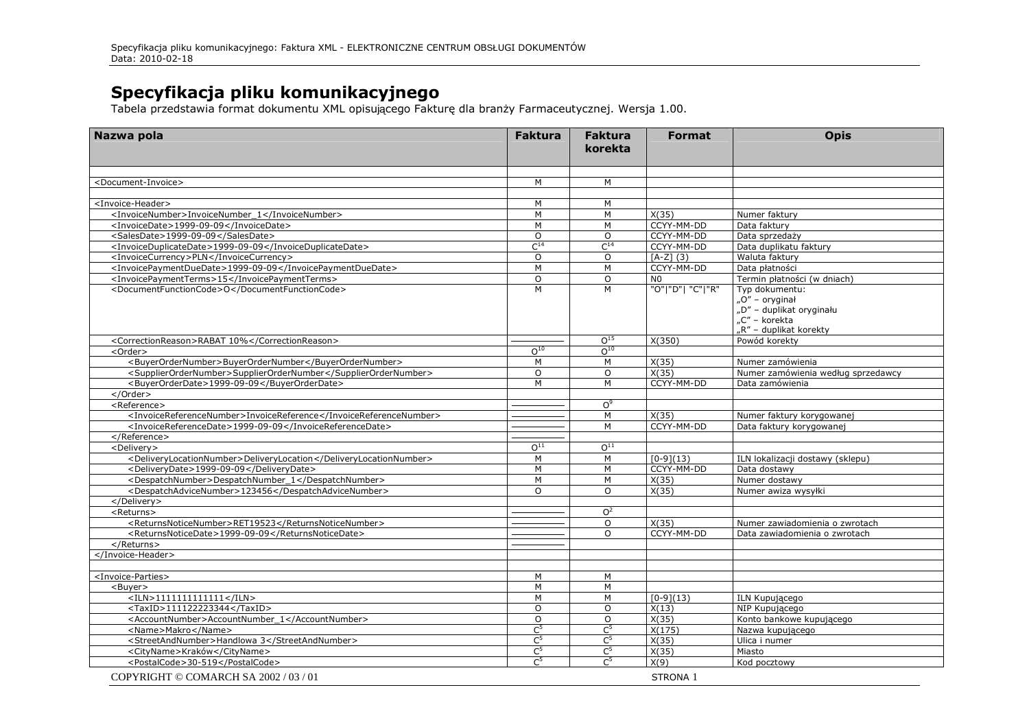**Specyfikacja pliku komunikacyjnego**<br>Tabela przedstawia format dokumentu XML opisującego Fakturę dla branży Farmaceutycznej. Wersja 1.00.

| Nazwa pola                                                        | <b>Faktura</b>  | <b>Faktura</b><br>korekta | <b>Format</b>    | <b>Opis</b>                                                                                                 |
|-------------------------------------------------------------------|-----------------|---------------------------|------------------|-------------------------------------------------------------------------------------------------------------|
|                                                                   |                 |                           |                  |                                                                                                             |
| <document-invoice></document-invoice>                             | M               | M                         |                  |                                                                                                             |
| <invoice-header></invoice-header>                                 | M               | M                         |                  |                                                                                                             |
| <invoicenumber>InvoiceNumber 1</invoicenumber>                    | M               | M                         | X(35)            | Numer faktury                                                                                               |
| <invoicedate>1999-09-09</invoicedate>                             | M               | M                         | CCYY-MM-DD       | Data faktury                                                                                                |
| <salesdate>1999-09-09</salesdate>                                 | $\Omega$        | $\Omega$                  | CCYY-MM-DD       | Data sprzedaży                                                                                              |
| <invoiceduplicatedate>1999-09-09</invoiceduplicatedate>           | $C^{14}$        | $C^{14}$                  | CCYY-MM-DD       | Data duplikatu faktury                                                                                      |
| <invoicecurrency>PLN</invoicecurrency>                            | $\Omega$        | $\Omega$                  | $[A-Z](3)$       | Waluta faktury                                                                                              |
| <invoicepaymentduedate>1999-09-09</invoicepaymentduedate>         | M               | M                         | CCYY-MM-DD       | Data płatności                                                                                              |
| <invoicepaymentterms>15</invoicepaymentterms>                     | $\circ$         | $\overline{O}$            | N <sub>0</sub>   | Termin płatności (w dniach)                                                                                 |
| <documentfunctioncode>O</documentfunctioncode>                    | M               | M                         | "O" "D"  "C" "R" | Typ dokumentu:<br>" $O''$ – oryginał<br>"D" - duplikat oryginału<br>"C" – korekta<br>"R" – duplikat korekty |
| <correctionreason>RABAT 10%</correctionreason>                    |                 | $0^{15}$                  | X(350)           | Powód korekty                                                                                               |
| <order></order>                                                   | O <sup>10</sup> | O <sup>10</sup>           |                  |                                                                                                             |
| <buyerordernumber>BuyerOrderNumber</buyerordernumber>             | M               | M                         | X(35)            | Numer zamówienia                                                                                            |
| <supplierordernumber>SupplierOrderNumber</supplierordernumber>    | $\circ$         | $\circ$                   | X(35)            | Numer zamówienia według sprzedawcy                                                                          |
| <buyerorderdate>1999-09-09</buyerorderdate>                       | M               | M                         | CCYY-MM-DD       | Data zamówienia                                                                                             |
| $<$ /Order $>$                                                    |                 |                           |                  |                                                                                                             |
| <reference></reference>                                           |                 | O <sub>0</sub>            |                  |                                                                                                             |
| <invoicereferencenumber>InvoiceReference</invoicereferencenumber> |                 | M                         | X(35)            | Numer faktury korygowanej                                                                                   |
| <invoicereferencedate>1999-09-09</invoicereferencedate>           |                 | M                         | CCYY-MM-DD       | Data faktury korygowanej                                                                                    |
|                                                                   |                 |                           |                  |                                                                                                             |
| <delivery></delivery>                                             | O <sup>11</sup> | O <sup>11</sup>           |                  |                                                                                                             |
| <deliverylocationnumber>DeliveryLocation</deliverylocationnumber> | M               | M                         | $[0-9](13)$      | ILN lokalizacji dostawy (sklepu)                                                                            |
| <deliverydate>1999-09-09</deliverydate>                           | M               | M                         | CCYY-MM-DD       | Data dostawy                                                                                                |
| <despatchnumber>DespatchNumber 1</despatchnumber>                 | M               | $\overline{M}$            | X(35)            | Numer dostawy                                                                                               |
| <despatchadvicenumber>123456</despatchadvicenumber>               | $\Omega$        | $\Omega$                  | X(35)            | Numer awiza wysyłki                                                                                         |
|                                                                   |                 |                           |                  |                                                                                                             |
| <returns></returns>                                               |                 | O <sup>2</sup>            |                  |                                                                                                             |
| <returnsnoticenumber>RET19523</returnsnoticenumber>               |                 | O                         | X(35)            | Numer zawiadomienia o zwrotach                                                                              |
| <returnsnoticedate>1999-09-09</returnsnoticedate>                 |                 | $\overline{O}$            | CCYY-MM-DD       | Data zawiadomienia o zwrotach                                                                               |
|                                                                   |                 |                           |                  |                                                                                                             |
|                                                                   |                 |                           |                  |                                                                                                             |
|                                                                   |                 |                           |                  |                                                                                                             |
| <invoice-parties></invoice-parties>                               | M               | M                         |                  |                                                                                                             |
| <buyer></buyer>                                                   | M               | M                         |                  |                                                                                                             |
| $<$ ILN>1111111111111                                             | M               | M                         | $[0-9](13)$      | ILN Kupujacego                                                                                              |
| <taxid>111122223344</taxid>                                       | $\Omega$        | $\Omega$                  | X(13)            | NIP Kupującego                                                                                              |
| <accountnumber>AccountNumber_1</accountnumber>                    | $\circ$         | O                         | X(35)            | Konto bankowe kupującego                                                                                    |
| <name>Makro</name>                                                | $C^5$           | $C^5$                     | X(175)           | Nazwa kupującego                                                                                            |
| <streetandnumber>Handlowa 3</streetandnumber>                     | C <sup>5</sup>  | C <sup>5</sup>            | X(35)            | Ulica i numer                                                                                               |
| <cityname>Kraków</cityname>                                       | $C^5$           | C <sup>5</sup>            | X(35)            | Miasto                                                                                                      |
| <postalcode>30-519</postalcode>                                   | C <sup>5</sup>  | C <sup>5</sup>            | X(9)             | Kod pocztowy                                                                                                |
| COPYRIGHT © COMARCH SA 2002 / 03 / 01                             |                 |                           | STRONA 1         |                                                                                                             |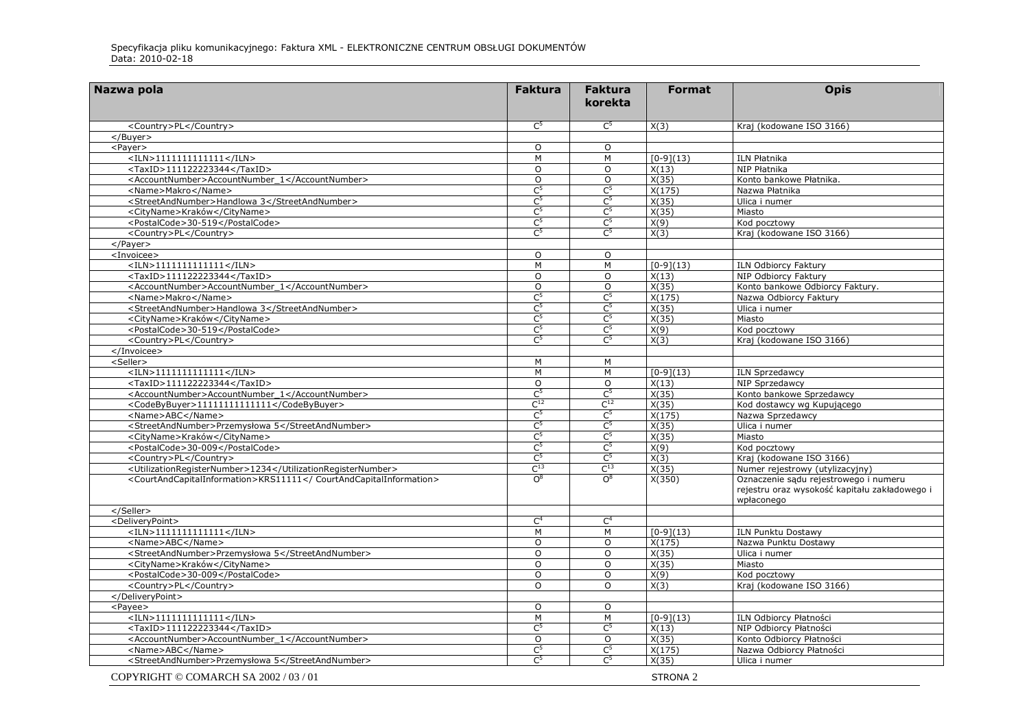| Nazwa pola                                                        | <b>Faktura</b>    | <b>Faktura</b><br>korekta | <b>Format</b>       | <b>Opis</b>                                                                                          |
|-------------------------------------------------------------------|-------------------|---------------------------|---------------------|------------------------------------------------------------------------------------------------------|
|                                                                   |                   |                           |                     |                                                                                                      |
| <country>PL</country>                                             | C <sup>5</sup>    | $\mathsf{C}^5$            | X(3)                | Kraj (kodowane ISO 3166)                                                                             |
| $<$ /Buyer $>$                                                    |                   |                           |                     |                                                                                                      |
| <payer></payer>                                                   | $\circ$           | $\circ$                   |                     |                                                                                                      |
| $<$ ILN>11111111111111                                            | M                 | M                         | $[0-9](13)$         | ILN Płatnika                                                                                         |
| <taxid>111122223344</taxid>                                       | $\Omega$          | O                         | X(13)               | NIP Płatnika                                                                                         |
| <accountnumber>AccountNumber_1</accountnumber>                    | $\circ$           | $\circ$                   | X(35)               | Konto bankowe Płatnika.                                                                              |
| <name>Makro</name>                                                | C <sub>2</sub>    | $\overline{C}^5$          | X(175)              | Nazwa Płatnika                                                                                       |
| <streetandnumber>Handlowa 3</streetandnumber>                     | $C^5$             | $\overline{C}^5$          | X(35)               | Ulica i numer                                                                                        |
| <cityname>Kraków</cityname>                                       | $C^5$             | C <sup>5</sup>            | X(35)               | Miasto                                                                                               |
| <postalcode>30-519</postalcode>                                   | $C^5$             | $\overline{C}^5$          | X(9)                | Kod pocztowy                                                                                         |
| <country>PL</country>                                             | C <sup>5</sup>    | $\mathsf{C}^5$            | X(3)                | Kraj (kodowane ISO 3166)                                                                             |
| $<$ /Payer $>$                                                    |                   |                           |                     |                                                                                                      |
| <invoicee></invoicee>                                             | $\circ$           | $\circ$                   |                     |                                                                                                      |
| $<$ ILN>11111111111111                                            | M                 | M                         | $[0-9](13)$         | ILN Odbiorcy Faktury                                                                                 |
| <taxid>111122223344</taxid>                                       | $\Omega$          | $\circ$                   | X(13)               | NIP Odbiorcy Faktury                                                                                 |
| <accountnumber>AccountNumber_1</accountnumber>                    | $\circ$           | $\circ$                   | X(35)               | Konto bankowe Odbiorcy Faktury.                                                                      |
| <name>Makro</name>                                                | C <sup>5</sup>    | C <sup>5</sup>            | X(175)              | Nazwa Odbiorcy Faktury                                                                               |
| <streetandnumber>Handlowa 3</streetandnumber>                     | C <sub>2</sub>    | $\overline{C^5}$          | X(35)               | Ulica i numer                                                                                        |
| <cityname>Kraków</cityname>                                       | C <sup>5</sup>    | C <sup>5</sup>            | X(35)               | Miasto                                                                                               |
| <postalcode>30-519</postalcode>                                   | C <sup>5</sup>    | C <sup>5</sup>            | X(9)                | Kod pocztowy                                                                                         |
| <country>PL</country>                                             | C <sup>5</sup>    | $\mathsf{C}^5$            | X(3)                | Kraj (kodowane ISO 3166)                                                                             |
|                                                                   |                   |                           |                     |                                                                                                      |
| <seller></seller>                                                 | M                 | M                         |                     |                                                                                                      |
| $<$ ILN>11111111111111                                            | M                 | M                         | $[0-9](13)$         | <b>ILN Sprzedawcy</b>                                                                                |
| $\overline{\text{5-111122223344}$ < TaxID >                       | $\Omega$          | $\Omega$                  | X(13)               | NIP Sprzedawcy                                                                                       |
| <accountnumber>AccountNumber_1</accountnumber>                    | C <sub>2</sub>    | C <sup>5</sup>            | X(35)               | Konto bankowe Sprzedawcy                                                                             |
| <codebybuyer>11111111111111</codebybuyer>                         | $\mathsf{C}^{12}$ | $C^{12}$                  | X(35)               | Kod dostawcy wg Kupującego                                                                           |
| <name>ABC</name>                                                  | C <sub>2</sub>    | $\overline{C^5}$          | X(175)              | Nazwa Sprzedawcy                                                                                     |
| <streetandnumber>Przemysłowa 5</streetandnumber>                  | C <sub>2</sub>    | C <sup>5</sup>            | X(35)               | Ulica i numer                                                                                        |
| <cityname>Kraków</cityname>                                       | C <sup>5</sup>    | C <sup>5</sup>            | $\overline{X(35)}$  | Miasto                                                                                               |
| <postalcode>30-009</postalcode>                                   | C <sup>5</sup>    | $\overline{C^5}$          | X(9)                | Kod pocztowy                                                                                         |
| <country>PL</country>                                             | C <sub>2</sub>    | C <sup>5</sup>            | X(3)                | Kraj (kodowane ISO 3166)                                                                             |
| <utilizationregisternumber>1234</utilizationregisternumber>       | $C^{13}$          | $C^{13}$                  | X(35)               | Numer rejestrowy (utylizacyjny)                                                                      |
| <courtandcapitalinformation>KRS11111</courtandcapitalinformation> | O <sup>8</sup>    | $\overline{O}^8$          | X(350)              | Oznaczenie sądu rejestrowego i numeru<br>rejestru oraz wysokość kapitału zakładowego i<br>wpłaconego |
|                                                                   |                   |                           |                     |                                                                                                      |
| <deliverypoint></deliverypoint>                                   | C <sup>4</sup>    | C <sup>4</sup>            |                     |                                                                                                      |
| $<$ ILN>11111111111111                                            | M                 | M                         | $[0-9](13)$         | ILN Punktu Dostawy                                                                                   |
| <name>ABC</name>                                                  | O                 | $\circ$                   | X(175)              | Nazwa Punktu Dostawy                                                                                 |
| <streetandnumber>Przemysłowa 5</streetandnumber>                  | $\Omega$          | $\overline{O}$            | X(35)               | Ulica i numer                                                                                        |
| <cityname>Kraków</cityname>                                       | $\circ$           | $\circ$                   | X(35)               | Miasto                                                                                               |
| <postalcode>30-009</postalcode>                                   | $\Omega$          | $\Omega$                  | X(9)                | Kod pocztowy                                                                                         |
| <country>PL</country>                                             | $\overline{0}$    | $\overline{0}$            | X(3)                | Kraj (kodowane ISO 3166)                                                                             |
|                                                                   |                   |                           |                     |                                                                                                      |
| $<$ Payee $>$                                                     | $\circ$           | $\circ$                   |                     |                                                                                                      |
| $<$ ILN>11111111111111                                            | M                 | M                         | $[0-9](13)$         | ILN Odbiorcy Płatności                                                                               |
| <taxid>111122223344</taxid>                                       | C <sub>2</sub>    | C <sup>5</sup>            | X(13)               | NIP Odbiorcy Platności                                                                               |
| <accountnumber>AccountNumber_1</accountnumber>                    | O                 | O                         | X(35)               | Konto Odbiorcy Płatności                                                                             |
| <name>ABC</name>                                                  | C <sub>2</sub>    | $\mathsf{C}^5$            | X(175)              | Nazwa Odbiorcy Płatności                                                                             |
| <streetandnumber>Przemysłowa 5</streetandnumber>                  | C <sub>2</sub>    | C <sub>2</sub>            | X(35)               | Ulica i numer                                                                                        |
| COPYRIGHT © COMARCH SA 2002/03/01                                 |                   |                           | STRONA <sub>2</sub> |                                                                                                      |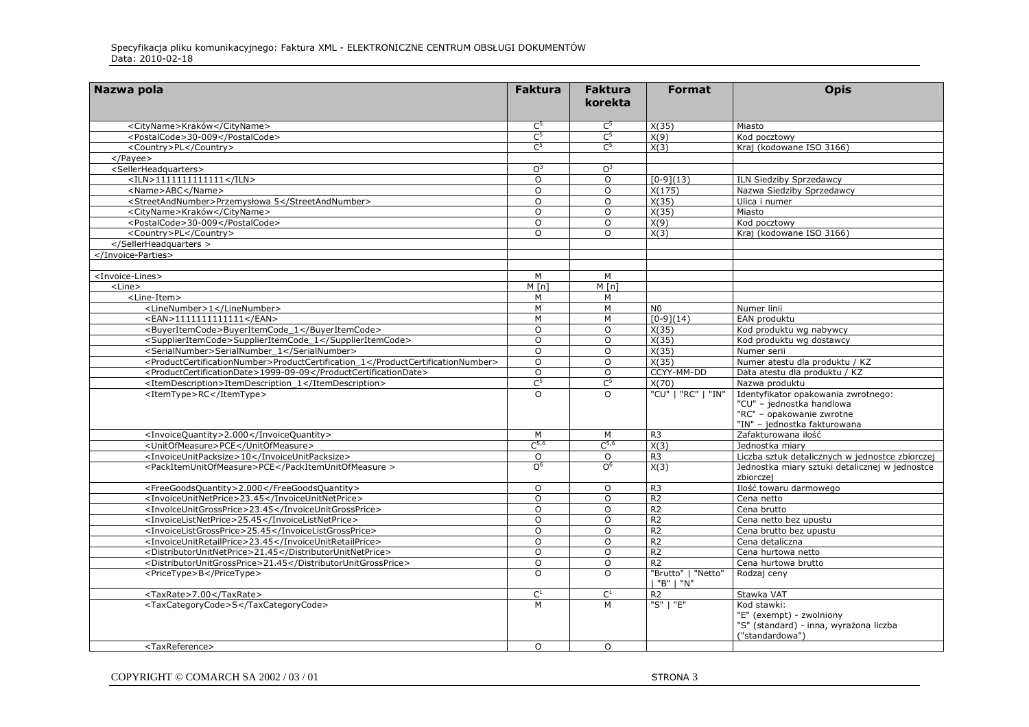| Nazwa pola                                                                      | <b>Faktura</b>            | <b>Faktura</b><br>korekta | <b>Format</b>                     | <b>Opis</b>                                                                                                                   |
|---------------------------------------------------------------------------------|---------------------------|---------------------------|-----------------------------------|-------------------------------------------------------------------------------------------------------------------------------|
| <cityname>Kraków</cityname>                                                     | C <sup>5</sup>            | $C^5$                     | X(35)                             | Miasto                                                                                                                        |
| <postalcode>30-009</postalcode>                                                 | $C^5$                     | C <sup>5</sup>            | X(9)                              | Kod pocztowy                                                                                                                  |
| <country>PL</country>                                                           | C <sup>5</sup>            | $C^5$                     | X(3)                              | Kraj (kodowane ISO 3166)                                                                                                      |
| $<$ /Payee $>$                                                                  |                           |                           |                                   |                                                                                                                               |
| <sellerheadquarters></sellerheadquarters>                                       | O <sup>3</sup>            | $\Omega^3$                |                                   |                                                                                                                               |
| $<$ ILN>11111111111111                                                          | $\Omega$                  | $\circ$                   | $[0-9](13)$                       | ILN Siedziby Sprzedawcy                                                                                                       |
| <name>ABC</name>                                                                | $\Omega$                  | $\Omega$                  | X(175)                            | Nazwa Siedziby Sprzedawcy                                                                                                     |
| <streetandnumber>Przemysłowa 5</streetandnumber>                                | $\Omega$                  | $\Omega$                  | X(35)                             | Ulica i numer                                                                                                                 |
| <cityname>Kraków</cityname>                                                     | $\Omega$                  | $\Omega$                  | X(35)                             | Miasto                                                                                                                        |
| <postalcode>30-009</postalcode>                                                 | $\Omega$                  | $\Omega$                  | X(9)                              | Kod pocztowy                                                                                                                  |
| <country>PL</country>                                                           | $\Omega$                  | $\Omega$                  | X(3)                              | Kraj (kodowane ISO 3166)                                                                                                      |
|                                                                                 |                           |                           |                                   |                                                                                                                               |
|                                                                                 |                           |                           |                                   |                                                                                                                               |
| <invoice-lines></invoice-lines>                                                 | M                         | M                         |                                   |                                                                                                                               |
| <line></line>                                                                   | M[n]                      | $M \lceil n \rceil$       |                                   |                                                                                                                               |
| <line-item></line-item>                                                         | М                         | М                         |                                   |                                                                                                                               |
| <linenumber>1</linenumber>                                                      | M                         | M                         | N <sub>0</sub>                    | Numer linii                                                                                                                   |
| <ean>1111111111111</ean>                                                        | M                         | M                         | $[0-9](14)$                       | EAN produktu                                                                                                                  |
| <buyeritemcode>BuyerItemCode 1</buyeritemcode>                                  | $\Omega$                  | $\Omega$                  | X(35)                             | Kod produktu wg nabywcy                                                                                                       |
| <supplieritemcode>SupplierItemCode_1</supplieritemcode>                         | $\Omega$                  | $\Omega$                  | X(35)                             | Kod produktu wg dostawcy                                                                                                      |
| <serialnumber>SerialNumber 1</serialnumber>                                     | $\Omega$                  | $\Omega$                  | X(35)                             | Numer serii                                                                                                                   |
| <productcertificationnumber>ProductCertification 1</productcertificationnumber> | O                         | $\circ$                   | X(35)                             | Numer atestu dla produktu / KZ                                                                                                |
| <productcertificationdate>1999-09-09</productcertificationdate>                 | $\Omega$                  | $\circ$                   | CCYY-MM-DD                        | Data atestu dla produktu / KZ                                                                                                 |
| <itemdescription>ItemDescription 1</itemdescription>                            | C <sub>2</sub>            | $C^5$                     | X(70)                             | Nazwa produktu                                                                                                                |
| <itemtype>RC</itemtype>                                                         | $\Omega$                  | $\Omega$                  | "CU"   "RC"   "IN"                | Identyfikator opakowania zwrotnego:<br>"CU" - jednostka handlowa<br>"RC" - opakowanie zwrotne<br>"IN" - jednostka fakturowana |
| <invoicequantity>2.000</invoicequantity>                                        | M                         | M                         | R <sub>3</sub>                    | Zafakturowana ilość                                                                                                           |
| <unitofmeasure>PCE</unitofmeasure>                                              | $C^{5,6}$                 | $C^{5,6}$                 | X(3)                              | Jednostka miary                                                                                                               |
| <invoiceunitpacksize>10</invoiceunitpacksize>                                   | $\overline{0}$            | $\overline{0}$            | R <sub>3</sub>                    | Liczba sztuk detalicznych w jednostce zbiorczej                                                                               |
| <packitemunitofmeasure>PCE</packitemunitofmeasure>                              | $\Omega_{\rm e}$          | $\overline{O}^6$          | X(3)                              | Jednostka miary sztuki detalicznej w jednostce<br>zbiorczej                                                                   |
| <freegoodsquantity>2.000</freegoodsquantity>                                    | O                         | $\circ$                   | R <sub>3</sub>                    | Ilość towaru darmowego                                                                                                        |
| <invoiceunitnetprice>23.45</invoiceunitnetprice>                                | $\circ$                   | $\circ$                   | R <sub>2</sub>                    | Cena netto                                                                                                                    |
| <invoiceunitgrossprice>23.45</invoiceunitgrossprice>                            | O                         | $\circ$                   | R <sub>2</sub>                    | Cena brutto                                                                                                                   |
| <invoicelistnetprice>25.45</invoicelistnetprice>                                | $\circ$                   | $\circ$                   | R <sub>2</sub>                    | Cena netto bez upustu                                                                                                         |
| <invoicelistgrossprice>25.45</invoicelistgrossprice>                            | $\Omega$                  | $\Omega$                  | R <sub>2</sub>                    | Cena brutto bez upustu                                                                                                        |
| <invoiceunitretailprice>23.45</invoiceunitretailprice>                          | $\Omega$                  | $\Omega$                  | R <sub>2</sub>                    | Cena detaliczna                                                                                                               |
| <distributorunitnetprice>21.45</distributorunitnetprice>                        | $\Omega$                  | $\Omega$                  | R <sub>2</sub>                    | Cena hurtowa netto                                                                                                            |
| <distributorunitgrossprice>21.45</distributorunitgrossprice>                    | $\Omega$                  | $\Omega$                  | R <sub>2</sub>                    | Cena hurtowa brutto                                                                                                           |
| <pricetype>B</pricetype>                                                        | $\Omega$                  | $\Omega$                  | "Brutto"   "Netto"<br>  "B"   "N" | Rodzaj ceny                                                                                                                   |
| <taxrate>7.00</taxrate>                                                         | $\overline{\mathsf{C}^1}$ | $\overline{\mathsf{C}^1}$ | R <sub>2</sub>                    | Stawka VAT                                                                                                                    |
| <taxcategorycode>S</taxcategorycode>                                            | M                         | M                         | "S"   "E"                         | Kod stawki:<br>"E" (exempt) - zwolniony<br>"S" (standard) - inna, wyrażona liczba<br>("standardowa")                          |
| <taxreference></taxreference>                                                   | $\Omega$                  | $\Omega$                  |                                   |                                                                                                                               |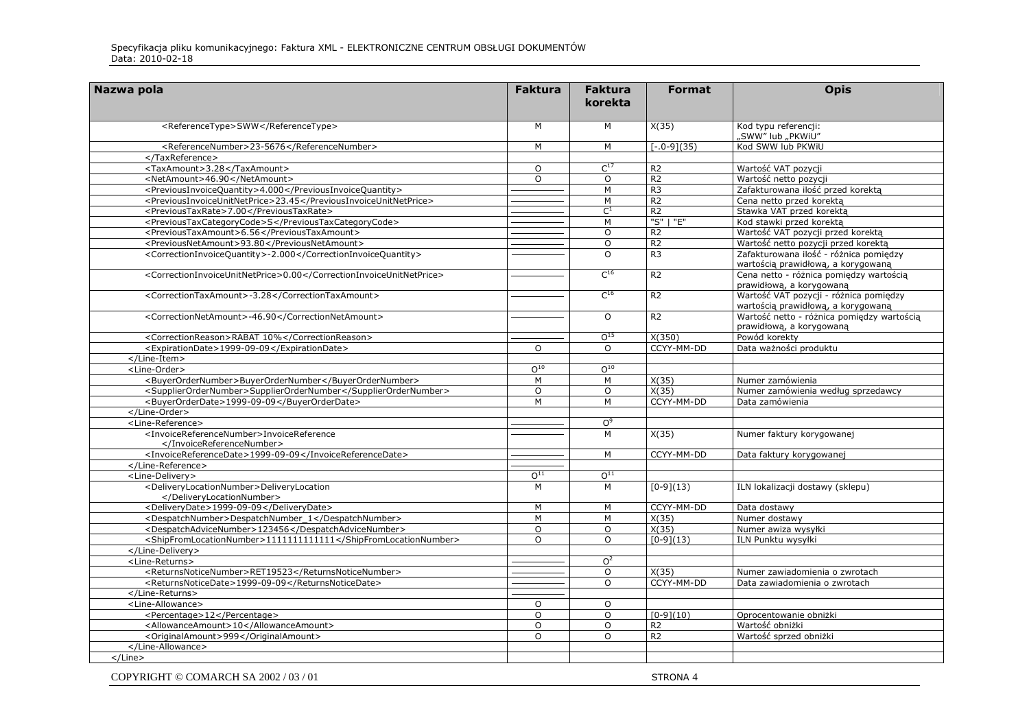| Kod typu referencji:<br><referencetype>SWW</referencetype><br>M<br>M<br>X(35)<br>"SWW" lub "PKWiU"<br>$[-.0-9](35)$<br>Kod SWW lub PKWiU<br><referencenumber>23-5676</referencenumber><br>M<br>M<br><br>$C^{17}$<br><taxamount>3.28</taxamount><br>O<br>R <sub>2</sub><br>Wartość VAT pozycji<br>$\overline{R2}$<br><netamount>46.90</netamount><br>$\Omega$<br>$\circ$<br>Wartość netto pozycji<br><previousinvoicequantity>4.000</previousinvoicequantity><br>R <sub>3</sub><br>Zafakturowana ilość przed korektą<br>М<br><previousinvoiceunitnetprice>23.45</previousinvoiceunitnetprice><br>M<br>R <sub>2</sub><br>Cena netto przed korektą<br>$\overline{C^1}$<br>R <sub>2</sub><br>Stawka VAT przed korekta<br><previoustaxrate>7.00</previoustaxrate><br>"S"   "E"<br><previoustaxcategorycode>S</previoustaxcategorycode><br>Kod stawki przed korekta<br>M<br>R <sub>2</sub><br><previoustaxamount>6.56</previoustaxamount><br>Wartość VAT pozycji przed korektą<br>O<br><previousnetamount>93.80</previousnetamount><br>R <sub>2</sub><br>Wartość netto pozycji przed korektą<br>O<br>R <sub>3</sub><br><correctioninvoicequantity>-2.000</correctioninvoicequantity><br>$\Omega$<br>Zafakturowana ilość - różnica pomiędzy<br>wartością prawidłową, a korygowaną<br>$C^{16}$<br><correctioninvoiceunitnetprice>0.00</correctioninvoiceunitnetprice><br>R <sub>2</sub><br>Cena netto - różnica pomiędzy wartością<br>prawidłową, a korygowaną<br>$C^{16}$<br>Wartość VAT pozycji - różnica pomiędzy<br>R <sub>2</sub><br><correctiontaxamount>-3.28</correctiontaxamount><br>wartością prawidłową, a korygowaną<br>$\Omega$<br>R <sub>2</sub><br>Wartość netto - różnica pomiędzy wartością<br><correctionnetamount>-46.90</correctionnetamount> |  |
|-----------------------------------------------------------------------------------------------------------------------------------------------------------------------------------------------------------------------------------------------------------------------------------------------------------------------------------------------------------------------------------------------------------------------------------------------------------------------------------------------------------------------------------------------------------------------------------------------------------------------------------------------------------------------------------------------------------------------------------------------------------------------------------------------------------------------------------------------------------------------------------------------------------------------------------------------------------------------------------------------------------------------------------------------------------------------------------------------------------------------------------------------------------------------------------------------------------------------------------------------------------------------------------------------------------------------------------------------------------------------------------------------------------------------------------------------------------------------------------------------------------------------------------------------------------------------------------------------------------------------------------------------------------------------------------------------------------------------------------------------------------|--|
|                                                                                                                                                                                                                                                                                                                                                                                                                                                                                                                                                                                                                                                                                                                                                                                                                                                                                                                                                                                                                                                                                                                                                                                                                                                                                                                                                                                                                                                                                                                                                                                                                                                                                                                                                           |  |
|                                                                                                                                                                                                                                                                                                                                                                                                                                                                                                                                                                                                                                                                                                                                                                                                                                                                                                                                                                                                                                                                                                                                                                                                                                                                                                                                                                                                                                                                                                                                                                                                                                                                                                                                                           |  |
|                                                                                                                                                                                                                                                                                                                                                                                                                                                                                                                                                                                                                                                                                                                                                                                                                                                                                                                                                                                                                                                                                                                                                                                                                                                                                                                                                                                                                                                                                                                                                                                                                                                                                                                                                           |  |
|                                                                                                                                                                                                                                                                                                                                                                                                                                                                                                                                                                                                                                                                                                                                                                                                                                                                                                                                                                                                                                                                                                                                                                                                                                                                                                                                                                                                                                                                                                                                                                                                                                                                                                                                                           |  |
|                                                                                                                                                                                                                                                                                                                                                                                                                                                                                                                                                                                                                                                                                                                                                                                                                                                                                                                                                                                                                                                                                                                                                                                                                                                                                                                                                                                                                                                                                                                                                                                                                                                                                                                                                           |  |
|                                                                                                                                                                                                                                                                                                                                                                                                                                                                                                                                                                                                                                                                                                                                                                                                                                                                                                                                                                                                                                                                                                                                                                                                                                                                                                                                                                                                                                                                                                                                                                                                                                                                                                                                                           |  |
|                                                                                                                                                                                                                                                                                                                                                                                                                                                                                                                                                                                                                                                                                                                                                                                                                                                                                                                                                                                                                                                                                                                                                                                                                                                                                                                                                                                                                                                                                                                                                                                                                                                                                                                                                           |  |
|                                                                                                                                                                                                                                                                                                                                                                                                                                                                                                                                                                                                                                                                                                                                                                                                                                                                                                                                                                                                                                                                                                                                                                                                                                                                                                                                                                                                                                                                                                                                                                                                                                                                                                                                                           |  |
|                                                                                                                                                                                                                                                                                                                                                                                                                                                                                                                                                                                                                                                                                                                                                                                                                                                                                                                                                                                                                                                                                                                                                                                                                                                                                                                                                                                                                                                                                                                                                                                                                                                                                                                                                           |  |
|                                                                                                                                                                                                                                                                                                                                                                                                                                                                                                                                                                                                                                                                                                                                                                                                                                                                                                                                                                                                                                                                                                                                                                                                                                                                                                                                                                                                                                                                                                                                                                                                                                                                                                                                                           |  |
|                                                                                                                                                                                                                                                                                                                                                                                                                                                                                                                                                                                                                                                                                                                                                                                                                                                                                                                                                                                                                                                                                                                                                                                                                                                                                                                                                                                                                                                                                                                                                                                                                                                                                                                                                           |  |
|                                                                                                                                                                                                                                                                                                                                                                                                                                                                                                                                                                                                                                                                                                                                                                                                                                                                                                                                                                                                                                                                                                                                                                                                                                                                                                                                                                                                                                                                                                                                                                                                                                                                                                                                                           |  |
|                                                                                                                                                                                                                                                                                                                                                                                                                                                                                                                                                                                                                                                                                                                                                                                                                                                                                                                                                                                                                                                                                                                                                                                                                                                                                                                                                                                                                                                                                                                                                                                                                                                                                                                                                           |  |
|                                                                                                                                                                                                                                                                                                                                                                                                                                                                                                                                                                                                                                                                                                                                                                                                                                                                                                                                                                                                                                                                                                                                                                                                                                                                                                                                                                                                                                                                                                                                                                                                                                                                                                                                                           |  |
| prawidłową, a korygowaną                                                                                                                                                                                                                                                                                                                                                                                                                                                                                                                                                                                                                                                                                                                                                                                                                                                                                                                                                                                                                                                                                                                                                                                                                                                                                                                                                                                                                                                                                                                                                                                                                                                                                                                                  |  |
| O <sup>15</sup><br>X(350)<br><correctionreason>RABAT 10%</correctionreason><br>Powód korekty                                                                                                                                                                                                                                                                                                                                                                                                                                                                                                                                                                                                                                                                                                                                                                                                                                                                                                                                                                                                                                                                                                                                                                                                                                                                                                                                                                                                                                                                                                                                                                                                                                                              |  |
| <expirationdate>1999-09-09</expirationdate><br>$\Omega$<br>CCYY-MM-DD<br>Data ważności produktu<br>$\circ$                                                                                                                                                                                                                                                                                                                                                                                                                                                                                                                                                                                                                                                                                                                                                                                                                                                                                                                                                                                                                                                                                                                                                                                                                                                                                                                                                                                                                                                                                                                                                                                                                                                |  |
|                                                                                                                                                                                                                                                                                                                                                                                                                                                                                                                                                                                                                                                                                                                                                                                                                                                                                                                                                                                                                                                                                                                                                                                                                                                                                                                                                                                                                                                                                                                                                                                                                                                                                                                                                           |  |
| $0^{10}$<br>$0^{10}$<br><line-order></line-order>                                                                                                                                                                                                                                                                                                                                                                                                                                                                                                                                                                                                                                                                                                                                                                                                                                                                                                                                                                                                                                                                                                                                                                                                                                                                                                                                                                                                                                                                                                                                                                                                                                                                                                         |  |
| M<br><buyerordernumber>BuyerOrderNumber</buyerordernumber><br>M<br>X(35)<br>Numer zamówienia                                                                                                                                                                                                                                                                                                                                                                                                                                                                                                                                                                                                                                                                                                                                                                                                                                                                                                                                                                                                                                                                                                                                                                                                                                                                                                                                                                                                                                                                                                                                                                                                                                                              |  |
| <supplierordernumber>SupplierOrderNumber</supplierordernumber><br>$\circ$<br>$\circ$<br>X(35)<br>Numer zamówienia według sprzedawcy                                                                                                                                                                                                                                                                                                                                                                                                                                                                                                                                                                                                                                                                                                                                                                                                                                                                                                                                                                                                                                                                                                                                                                                                                                                                                                                                                                                                                                                                                                                                                                                                                       |  |
| <buyerorderdate>1999-09-09</buyerorderdate><br>M<br>M<br>CCYY-MM-DD<br>Data zamówienia                                                                                                                                                                                                                                                                                                                                                                                                                                                                                                                                                                                                                                                                                                                                                                                                                                                                                                                                                                                                                                                                                                                                                                                                                                                                                                                                                                                                                                                                                                                                                                                                                                                                    |  |
|                                                                                                                                                                                                                                                                                                                                                                                                                                                                                                                                                                                                                                                                                                                                                                                                                                                                                                                                                                                                                                                                                                                                                                                                                                                                                                                                                                                                                                                                                                                                                                                                                                                                                                                                                           |  |
| <line-reference><br/>O<sub>0</sub></line-reference>                                                                                                                                                                                                                                                                                                                                                                                                                                                                                                                                                                                                                                                                                                                                                                                                                                                                                                                                                                                                                                                                                                                                                                                                                                                                                                                                                                                                                                                                                                                                                                                                                                                                                                       |  |
| <invoicereferencenumber>InvoiceReference<br/>M<br/>X(35)<br/>Numer faktury korygowanej<br/></invoicereferencenumber>                                                                                                                                                                                                                                                                                                                                                                                                                                                                                                                                                                                                                                                                                                                                                                                                                                                                                                                                                                                                                                                                                                                                                                                                                                                                                                                                                                                                                                                                                                                                                                                                                                      |  |
| <invoicereferencedate>1999-09-09</invoicereferencedate><br>CCYY-MM-DD<br>M<br>Data faktury korygowanej                                                                                                                                                                                                                                                                                                                                                                                                                                                                                                                                                                                                                                                                                                                                                                                                                                                                                                                                                                                                                                                                                                                                                                                                                                                                                                                                                                                                                                                                                                                                                                                                                                                    |  |
|                                                                                                                                                                                                                                                                                                                                                                                                                                                                                                                                                                                                                                                                                                                                                                                                                                                                                                                                                                                                                                                                                                                                                                                                                                                                                                                                                                                                                                                                                                                                                                                                                                                                                                                                                           |  |
| O <sup>11</sup><br>$0^{11}$<br><line-delivery></line-delivery>                                                                                                                                                                                                                                                                                                                                                                                                                                                                                                                                                                                                                                                                                                                                                                                                                                                                                                                                                                                                                                                                                                                                                                                                                                                                                                                                                                                                                                                                                                                                                                                                                                                                                            |  |
| <deliverylocationnumber>DeliveryLocation<br/>M<br/>M<br/><math>[0-9](13)</math><br/>ILN lokalizacji dostawy (sklepu)<br/></deliverylocationnumber>                                                                                                                                                                                                                                                                                                                                                                                                                                                                                                                                                                                                                                                                                                                                                                                                                                                                                                                                                                                                                                                                                                                                                                                                                                                                                                                                                                                                                                                                                                                                                                                                        |  |
| <deliverydate>1999-09-09</deliverydate><br>M<br>M<br>CCYY-MM-DD<br>Data dostawy                                                                                                                                                                                                                                                                                                                                                                                                                                                                                                                                                                                                                                                                                                                                                                                                                                                                                                                                                                                                                                                                                                                                                                                                                                                                                                                                                                                                                                                                                                                                                                                                                                                                           |  |
| <despatchnumber>DespatchNumber_1</despatchnumber><br>M<br>M<br>X(35)<br>Numer dostawy                                                                                                                                                                                                                                                                                                                                                                                                                                                                                                                                                                                                                                                                                                                                                                                                                                                                                                                                                                                                                                                                                                                                                                                                                                                                                                                                                                                                                                                                                                                                                                                                                                                                     |  |
| <despatchadvicenumber>123456</despatchadvicenumber><br>$\circ$<br>X(35)<br>Numer awiza wysyłki<br>$\circ$                                                                                                                                                                                                                                                                                                                                                                                                                                                                                                                                                                                                                                                                                                                                                                                                                                                                                                                                                                                                                                                                                                                                                                                                                                                                                                                                                                                                                                                                                                                                                                                                                                                 |  |
| <shipfromlocationnumber>11111111111111</shipfromlocationnumber><br>$\overline{O}$<br>ILN Punktu wysyłki<br>$\Omega$<br>$[0-9](13)$                                                                                                                                                                                                                                                                                                                                                                                                                                                                                                                                                                                                                                                                                                                                                                                                                                                                                                                                                                                                                                                                                                                                                                                                                                                                                                                                                                                                                                                                                                                                                                                                                        |  |
|                                                                                                                                                                                                                                                                                                                                                                                                                                                                                                                                                                                                                                                                                                                                                                                                                                                                                                                                                                                                                                                                                                                                                                                                                                                                                                                                                                                                                                                                                                                                                                                                                                                                                                                                                           |  |
| O <sup>2</sup><br><line-returns></line-returns>                                                                                                                                                                                                                                                                                                                                                                                                                                                                                                                                                                                                                                                                                                                                                                                                                                                                                                                                                                                                                                                                                                                                                                                                                                                                                                                                                                                                                                                                                                                                                                                                                                                                                                           |  |
| <returnsnoticenumber>RET19523</returnsnoticenumber><br>$\circ$<br>X(35)<br>Numer zawiadomienia o zwrotach                                                                                                                                                                                                                                                                                                                                                                                                                                                                                                                                                                                                                                                                                                                                                                                                                                                                                                                                                                                                                                                                                                                                                                                                                                                                                                                                                                                                                                                                                                                                                                                                                                                 |  |
| <returnsnoticedate>1999-09-09</returnsnoticedate><br>CCYY-MM-DD<br>$\Omega$<br>Data zawiadomienia o zwrotach                                                                                                                                                                                                                                                                                                                                                                                                                                                                                                                                                                                                                                                                                                                                                                                                                                                                                                                                                                                                                                                                                                                                                                                                                                                                                                                                                                                                                                                                                                                                                                                                                                              |  |
|                                                                                                                                                                                                                                                                                                                                                                                                                                                                                                                                                                                                                                                                                                                                                                                                                                                                                                                                                                                                                                                                                                                                                                                                                                                                                                                                                                                                                                                                                                                                                                                                                                                                                                                                                           |  |
| <line-allowance><br/><math>\circ</math><br/><math>\Omega</math></line-allowance>                                                                                                                                                                                                                                                                                                                                                                                                                                                                                                                                                                                                                                                                                                                                                                                                                                                                                                                                                                                                                                                                                                                                                                                                                                                                                                                                                                                                                                                                                                                                                                                                                                                                          |  |
| $[0-9](10)$<br><percentage>12</percentage><br>O<br>Oprocentowanie obniżki<br>$\circ$                                                                                                                                                                                                                                                                                                                                                                                                                                                                                                                                                                                                                                                                                                                                                                                                                                                                                                                                                                                                                                                                                                                                                                                                                                                                                                                                                                                                                                                                                                                                                                                                                                                                      |  |
| <allowanceamount>10</allowanceamount><br>$\circ$<br>R <sub>2</sub><br>Wartość obniżki<br>$\circ$                                                                                                                                                                                                                                                                                                                                                                                                                                                                                                                                                                                                                                                                                                                                                                                                                                                                                                                                                                                                                                                                                                                                                                                                                                                                                                                                                                                                                                                                                                                                                                                                                                                          |  |
| <originalamount>999</originalamount><br>$\Omega$<br>R <sub>2</sub><br>Wartość sprzed obniżki<br>$\Omega$                                                                                                                                                                                                                                                                                                                                                                                                                                                                                                                                                                                                                                                                                                                                                                                                                                                                                                                                                                                                                                                                                                                                                                                                                                                                                                                                                                                                                                                                                                                                                                                                                                                  |  |
|                                                                                                                                                                                                                                                                                                                                                                                                                                                                                                                                                                                                                                                                                                                                                                                                                                                                                                                                                                                                                                                                                                                                                                                                                                                                                                                                                                                                                                                                                                                                                                                                                                                                                                                                                           |  |
| $<$ /Line $>$                                                                                                                                                                                                                                                                                                                                                                                                                                                                                                                                                                                                                                                                                                                                                                                                                                                                                                                                                                                                                                                                                                                                                                                                                                                                                                                                                                                                                                                                                                                                                                                                                                                                                                                                             |  |

COPYRIGHT © COMARCH SA 2002 / 03 / 01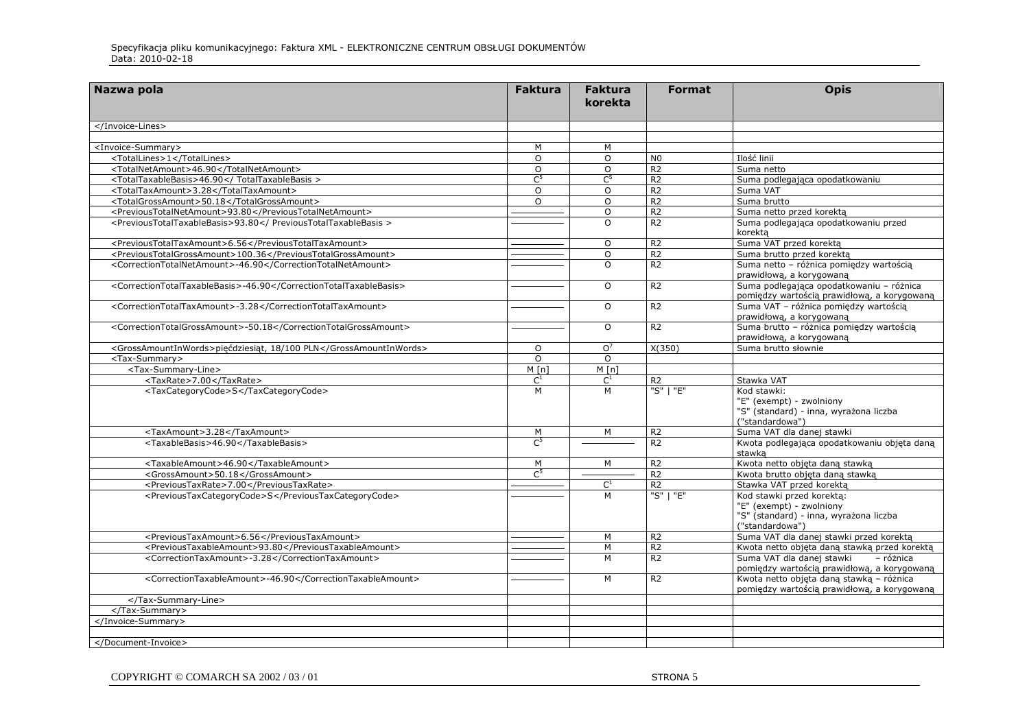| Nazwa pola                                                        | <b>Faktura</b> | <b>Faktura</b><br>korekta | <b>Format</b>  | <b>Opis</b>                                                                                                        |
|-------------------------------------------------------------------|----------------|---------------------------|----------------|--------------------------------------------------------------------------------------------------------------------|
|                                                                   |                |                           |                |                                                                                                                    |
|                                                                   |                |                           |                |                                                                                                                    |
| <invoice-summary></invoice-summary>                               | M              | M                         |                |                                                                                                                    |
| <totallines>1</totallines>                                        | $\circ$        | $\circ$                   | N <sub>0</sub> | Ilość linii                                                                                                        |
| <totalnetamount>46.90</totalnetamount>                            | $\circ$        | $\circ$                   | R <sub>2</sub> | Suma netto                                                                                                         |
| <totaltaxablebasis>46.90</totaltaxablebasis>                      | C <sup>5</sup> | $C^5$                     | R <sub>2</sub> | Suma podlegająca opodatkowaniu                                                                                     |
| <totaltaxamount>3.28</totaltaxamount>                             | $\Omega$       | $\Omega$                  | R <sub>2</sub> | Suma VAT                                                                                                           |
| <totalgrossamount>50.18</totalgrossamount>                        | $\Omega$       | $\circ$                   | R <sub>2</sub> | Suma brutto                                                                                                        |
| <previoustotalnetamount>93.80</previoustotalnetamount>            |                | $\circ$                   | R <sub>2</sub> | Suma netto przed korektą                                                                                           |
| <previoustotaltaxablebasis>93.80</previoustotaltaxablebasis>      |                | $\Omega$                  | R <sub>2</sub> | Suma podlegająca opodatkowaniu przed<br>korekta                                                                    |
| <previoustotaltaxamount>6.56</previoustotaltaxamount>             |                | $\circ$                   | R <sub>2</sub> | Suma VAT przed korektą                                                                                             |
| <previoustotalgrossamount>100.36</previoustotalgrossamount>       |                | $\circ$                   | R <sub>2</sub> | Suma brutto przed korektą                                                                                          |
| <correctiontotalnetamount>-46.90</correctiontotalnetamount>       |                | $\Omega$                  | R <sub>2</sub> | Suma netto - różnica pomiędzy wartością<br>prawidłową, a korygowaną                                                |
| <correctiontotaltaxablebasis>-46.90</correctiontotaltaxablebasis> |                | $\circ$                   | R <sub>2</sub> | Suma podlegająca opodatkowaniu - różnica<br>pomiędzy wartością prawidłową, a korygowaną                            |
| <correctiontotaltaxamount>-3.28</correctiontotaltaxamount>        |                | $\Omega$                  | R <sub>2</sub> | Suma VAT - różnica pomiędzy wartością<br>prawidłową, a korygowaną                                                  |
| <correctiontotalgrossamount>-50.18</correctiontotalgrossamount>   |                | $\overline{O}$            | R <sub>2</sub> | Suma brutto - różnica pomiędzy wartością<br>prawidłową, a korygowaną                                               |
| <grossamountinwords>pięćdziesiąt, 18/100 PLN</grossamountinwords> | $\circ$        | O <sup>7</sup>            | X(350)         | Suma brutto słownie                                                                                                |
| <tax-summary></tax-summary>                                       | $\Omega$       | $\Omega$                  |                |                                                                                                                    |
| <tax-summary-line></tax-summary-line>                             | M[n]           | M[n]                      |                |                                                                                                                    |
| <taxrate>7.00</taxrate>                                           | $\mathsf{C}^1$ | $C^1$                     | R <sub>2</sub> | Stawka VAT                                                                                                         |
| <taxcategorycode>S</taxcategorycode>                              | M              | M                         | "S"   "E"      | Kod stawki:<br>"E" (exempt) - zwolniony<br>"S" (standard) - inna, wyrażona liczba<br>("standardowa")               |
| <taxamount>3.28</taxamount>                                       | M              | M                         | R <sub>2</sub> | Suma VAT dla danej stawki                                                                                          |
| <taxablebasis>46.90</taxablebasis>                                | $\mathsf{C}^5$ |                           | R <sub>2</sub> | Kwota podlegająca opodatkowaniu objęta daną<br>stawka                                                              |
| <taxableamount>46.90</taxableamount>                              | M              | М                         | R <sub>2</sub> | Kwota netto objęta daną stawką                                                                                     |
| <grossamount>50.18</grossamount>                                  | $C^5$          |                           | R <sub>2</sub> | Kwota brutto objęta daną stawką                                                                                    |
| <previoustaxrate>7.00</previoustaxrate>                           |                | $C^1$                     | R <sub>2</sub> | Stawka VAT przed korektą                                                                                           |
| <previoustaxcategorycode>S</previoustaxcategorycode>              |                | M                         | "S"   "E"      | Kod stawki przed korekta:<br>"E" (exempt) - zwolniony<br>"S" (standard) - inna, wyrażona liczba<br>("standardowa") |
| <previoustaxamount>6.56</previoustaxamount>                       |                | M                         | R <sub>2</sub> | Suma VAT dla danej stawki przed korektą                                                                            |
| <previoustaxableamount>93.80</previoustaxableamount>              |                | M                         | R <sub>2</sub> | Kwota netto objęta daną stawką przed korektą                                                                       |
| <correctiontaxamount>-3.28</correctiontaxamount>                  |                | M                         | R <sub>2</sub> | Suma VAT dla danej stawki<br>- różnica<br>pomiędzy wartością prawidłową, a korygowaną                              |
| <correctiontaxableamount>-46.90</correctiontaxableamount>         |                | M                         | R <sub>2</sub> | Kwota netto objeta dana stawka - różnica<br>pomiędzy wartością prawidłową, a korygowaną                            |
|                                                                   |                |                           |                |                                                                                                                    |
|                                                                   |                |                           |                |                                                                                                                    |
|                                                                   |                |                           |                |                                                                                                                    |
|                                                                   |                |                           |                |                                                                                                                    |
|                                                                   |                |                           |                |                                                                                                                    |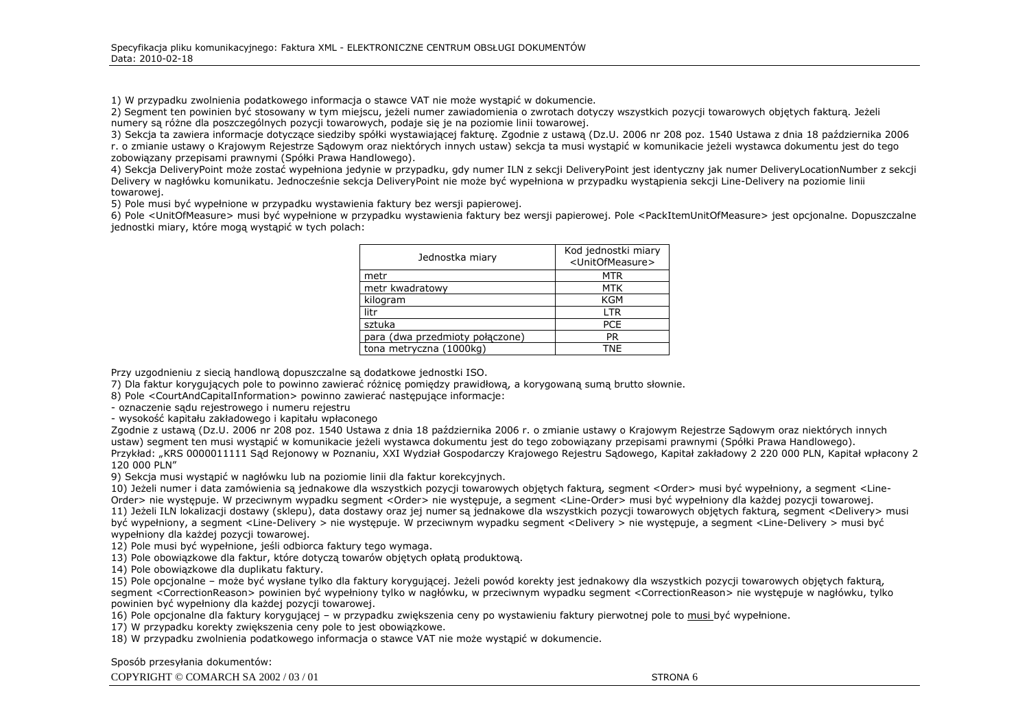1) W przypadku zwolnienia podatkowego informacja o stawce VAT nie może wystąpić w dokumencie.

2) Segment ten powinien być stosowany w tym miejscu, jeżeli numer zawiadomienia o zwrotach dotyczy wszystkich pozycji towarowych objętych fakturą. Jeżeli numery są róŜne dla poszczególnych pozycji towarowych, podaje się je na poziomie linii towarowej.

 3) Sekcja ta zawiera informacje dotyczące siedziby spółki wystawiającej fakturę. Zgodnie z ustawą (Dz.U. 2006 nr 208 poz. 1540 Ustawa z dnia 18 października 2006 r. o zmianie ustawy o Krajowym Rejestrze Sądowym oraz niektórych innych ustaw) sekcja ta musi wystąpić w komunikacie jeżeli wystawca dokumentu jest do tego zobowiązany przepisami prawnymi (Spółki Prawa Handlowego).

4) Sekcja DeliveryPoint może zostać wypełniona jedynie w przypadku, gdy numer ILN z sekcji DeliveryPoint jest identyczny jak numer DeliveryLocationNumber z sekcji Delivery w nagłówku komunikatu. Jednocześnie sekcja DeliveryPoint nie może być wypełniona w przypadku wystąpienia sekcji Line-Delivery na poziomie linii towarowej.

5) Pole musi być wypełnione w przypadku wystawienia faktury bez wersji papierowej.

 6) Pole <UnitOfMeasure> musi być wypełnione w przypadku wystawienia faktury bez wersji papierowej. Pole <PackItemUnitOfMeasure> jest opcjonalne. Dopuszczalne jednostki miary, które mogą wystąpić w tych polach:

| Jednostka miary                 | Kod jednostki miary<br><unitofmeasure></unitofmeasure> |
|---------------------------------|--------------------------------------------------------|
| metr                            | <b>MTR</b>                                             |
| metr kwadratowy                 | MTK                                                    |
| kilogram                        | KGM                                                    |
| litr                            | <b>LTR</b>                                             |
| sztuka                          | <b>PCE</b>                                             |
| para (dwa przedmioty połączone) | <b>PR</b>                                              |
| tona metryczna (1000kg)         | TNE                                                    |

Przy uzgodnieniu z siecią handlową dopuszczalne są dodatkowe jednostki ISO.

7) Dla faktur korygujących pole to powinno zawierać różnicę pomiędzy prawidłową, a korygowaną sumą brutto słownie.

8) Pole <CourtAndCapitalInformation> powinno zawierać następujące informacje:

- oznaczenie sądu rejestrowego i numeru rejestru

- wysokość kapitału zakładowego i kapitału wpłaconego

 Zgodnie z ustawą (Dz.U. 2006 nr 208 poz. 1540 Ustawa z dnia 18 października 2006 r. o zmianie ustawy o Krajowym Rejestrze Sądowym oraz niektórych innych ustaw) segment ten musi wystąpić w komunikacie jeżeli wystawca dokumentu jest do tego zobowiązany przepisami prawnymi (Spółki Prawa Handlowego). Przykład: "KRS 0000011111 Sąd Rejonowy w Poznaniu, XXI Wydział Gospodarczy Krajowego Rejestru Sądowego, Kapitał zakładowy 2 220 000 PLN, Kapitał wpłacony 2 120 000 PLN"

9) Sekcja musi wystąpić w nagłówku lub na poziomie linii dla faktur korekcyjnych.

10) Jeżeli numer i data zamówienia są jednakowe dla wszystkich pozycji towarowych objętych fakturą, segment <Order> musi być wypełniony, a segment <Line-Order> nie występuje. W przeciwnym wypadku segment <Order> nie występuje, a segment <Line-Order> musi być wypełniony dla każdej pozycji towarowej. 11) Jeżeli ILN lokalizacji dostawy (sklepu), data dostawy oraz jej numer są jednakowe dla wszystkich pozycji towarowych objętych fakturą, segment <Delivery> musi być wypełniony, a segment <Line-Delivery > nie występuje. W przeciwnym wypadku segment <Delivery > nie występuje, a segment <Line-Delivery > musi być wypełniony dla każdej pozycji towarowej.

12) Pole musi być wypełnione, jeśli odbiorca faktury tego wymaga.

13) Pole obowiązkowe dla faktur, które dotyczą towarów objętych opłatą produktową.

14) Pole obowiązkowe dla duplikatu faktury.

15) Pole opcjonalne – może być wysłane tylko dla faktury korygującej. Jeżeli powód korekty jest jednakowy dla wszystkich pozycji towarowych objętych fakturą, segment <CorrectionReason> powinien być wypełniony tylko w nagłówku, w przeciwnym wypadku segment <CorrectionReason> nie występuje w nagłówku, tylko powinien być wypełniony dla każdej pozycji towarowej.

16) Pole opcjonalne dla faktury korygującej – w przypadku zwiększenia ceny po wystawieniu faktury pierwotnej pole to <u>musi być wypełnione.</u>

17) W przypadku korekty zwiększenia ceny pole to jest obowiązkowe.

18) W przypadku zwolnienia podatkowego informacja o stawce VAT nie może wystąpić w dokumencie.

Sposób przesyłania dokumentów:

COPYRIGHT © COMARCH SA 2002 / 03 / 01